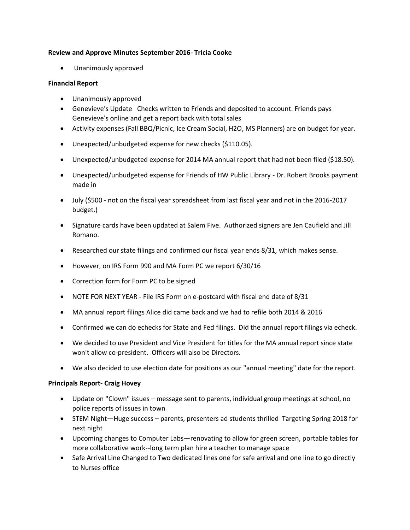### **Review and Approve Minutes September 2016- Tricia Cooke**

• Unanimously approved

## **Financial Report**

- Unanimously approved
- Genevieve's Update Checks written to Friends and deposited to account. Friends pays Genevieve's online and get a report back with total sales
- Activity expenses (Fall BBQ/Picnic, Ice Cream Social, H2O, MS Planners) are on budget for year.
- Unexpected/unbudgeted expense for new checks (\$110.05).
- Unexpected/unbudgeted expense for 2014 MA annual report that had not been filed (\$18.50).
- Unexpected/unbudgeted expense for Friends of HW Public Library Dr. Robert Brooks payment made in
- July (\$500 not on the fiscal year spreadsheet from last fiscal year and not in the 2016-2017 budget.)
- Signature cards have been updated at Salem Five. Authorized signers are Jen Caufield and Jill Romano.
- Researched our state filings and confirmed our fiscal year ends 8/31, which makes sense.
- However, on IRS Form 990 and MA Form PC we report 6/30/16
- Correction form for Form PC to be signed
- NOTE FOR NEXT YEAR File IRS Form on e-postcard with fiscal end date of 8/31
- MA annual report filings Alice did came back and we had to refile both 2014 & 2016
- Confirmed we can do echecks for State and Fed filings. Did the annual report filings via echeck.
- We decided to use President and Vice President for titles for the MA annual report since state won't allow co-president. Officers will also be Directors.
- We also decided to use election date for positions as our "annual meeting" date for the report.

# **Principals Report- Craig Hovey**

- Update on "Clown" issues message sent to parents, individual group meetings at school, no police reports of issues in town
- STEM Night—Huge success parents, presenters ad students thrilled Targeting Spring 2018 for next night
- Upcoming changes to Computer Labs—renovating to allow for green screen, portable tables for more collaborative work--long term plan hire a teacher to manage space
- Safe Arrival Line Changed to Two dedicated lines one for safe arrival and one line to go directly to Nurses office